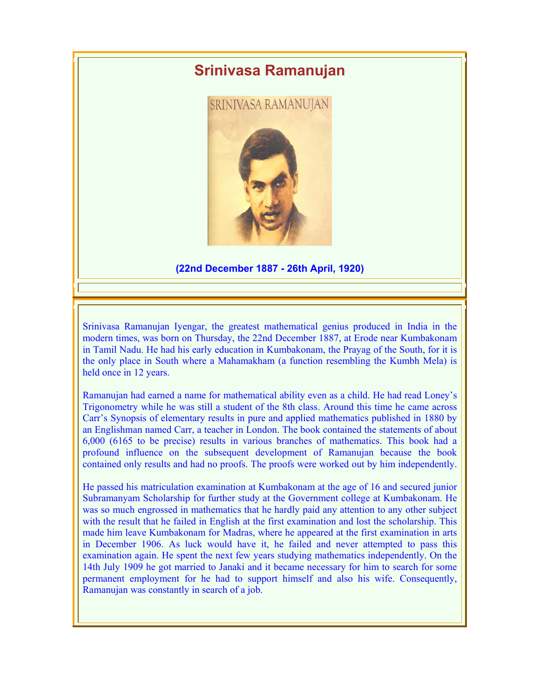## **Srinivasa Ramanujan**



**(22nd December 1887 - 26th April, 1920)**

Srinivasa Ramanujan Iyengar, the greatest mathematical genius produced in India in the modern times, was born on Thursday, the 22nd December 1887, at Erode near Kumbakonam in Tamil Nadu. He had his early education in Kumbakonam, the Prayag of the South, for it is the only place in South where a Mahamakham (a function resembling the Kumbh Mela) is held once in 12 years.

Ramanujan had earned a name for mathematical ability even as a child. He had read Loney's Trigonometry while he was still a student of the 8th class. Around this time he came across Carr's Synopsis of elementary results in pure and applied mathematics published in 1880 by an Englishman named Carr, a teacher in London. The book contained the statements of about 6,000 (6165 to be precise) results in various branches of mathematics. This book had a profound influence on the subsequent development of Ramanujan because the book contained only results and had no proofs. The proofs were worked out by him independently.

He passed his matriculation examination at Kumbakonam at the age of 16 and secured junior Subramanyam Scholarship for further study at the Government college at Kumbakonam. He was so much engrossed in mathematics that he hardly paid any attention to any other subject with the result that he failed in English at the first examination and lost the scholarship. This made him leave Kumbakonam for Madras, where he appeared at the first examination in arts in December 1906. As luck would have it, he failed and never attempted to pass this examination again. He spent the next few years studying mathematics independently. On the 14th July 1909 he got married to Janaki and it became necessary for him to search for some permanent employment for he had to support himself and also his wife. Consequently, Ramanujan was constantly in search of a job.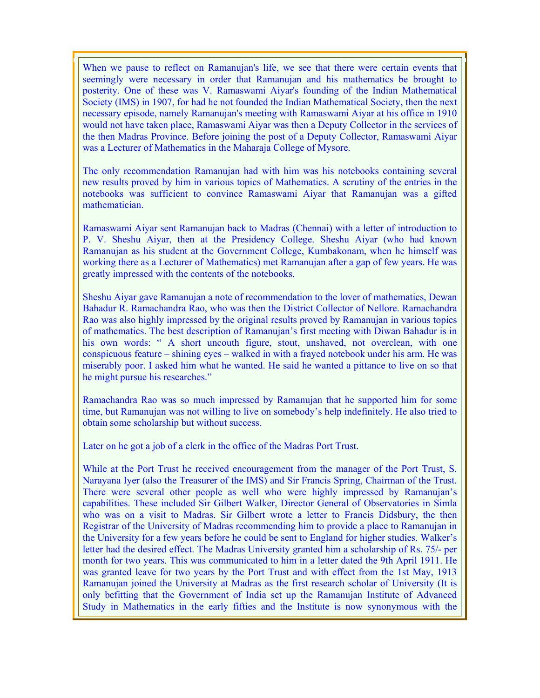When we pause to reflect on Ramanujan's life, we see that there were certain events that seemingly were necessary in order that Ramanujan and his mathematics be brought to posterity. One of these was V. Ramaswami Aiyar's founding of the Indian Mathematical Society (IMS) in 1907, for had he not founded the Indian Mathematical Society, then the next necessary episode, namely Ramanujan's meeting with Ramaswami Aiyar at his office in 1910 would not have taken place, Ramaswami Aiyar was then a Deputy Collector in the services of the then Madras Province. Before joining the post of a Deputy Collector, Ramaswami Aiyar was a Lecturer of Mathematics in the Maharaja College of Mysore.

The only recommendation Ramanujan had with him was his notebooks containing several new results proved by him in various topics of Mathematics. A scrutiny of the entries in the notebooks was sufficient to convince Ramaswami Aiyar that Ramanujan was a gifted mathematician.

Ramaswami Aiyar sent Ramanujan back to Madras (Chennai) with a letter of introduction to P. V. Sheshu Aiyar, then at the Presidency College. Sheshu Aiyar (who had known Ramanujan as his student at the Government College, Kumbakonam, when he himself was working there as a Lecturer of Mathematics) met Ramanujan after a gap of few years. He was greatly impressed with the contents of the notebooks.

Sheshu Aiyar gave Ramanujan a note of recommendation to the lover of mathematics, Dewan Bahadur R. Ramachandra Rao, who was then the District Collector of Nellore. Ramachandra Rao was also highly impressed by the original results proved by Ramanujan in various topics of mathematics. The best description of Ramanujan's first meeting with Diwan Bahadur is in his own words: " A short uncouth figure, stout, unshaved, not overclean, with one conspicuous feature – shining eyes – walked in with a frayed notebook under his arm. He was miserably poor. I asked him what he wanted. He said he wanted a pittance to live on so that he might pursue his researches."

Ramachandra Rao was so much impressed by Ramanujan that he supported him for some time, but Ramanujan was not willing to live on somebody's help indefinitely. He also tried to obtain some scholarship but without success.

Later on he got a job of a clerk in the office of the Madras Port Trust.

While at the Port Trust he received encouragement from the manager of the Port Trust, S. Narayana Iyer (also the Treasurer of the IMS) and Sir Francis Spring, Chairman of the Trust. There were several other people as well who were highly impressed by Ramanujan's capabilities. These included Sir Gilbert Walker, Director General of Observatories in Simla who was on a visit to Madras. Sir Gilbert wrote a letter to Francis Didsbury, the then Registrar of the University of Madras recommending him to provide a place to Ramanujan in the University for a few years before he could be sent to England for higher studies. Walker's letter had the desired effect. The Madras University granted him a scholarship of Rs. 75/- per month for two years. This was communicated to him in a letter dated the 9th April 1911. He was granted leave for two years by the Port Trust and with effect from the 1st May, 1913 Ramanujan joined the University at Madras as the first research scholar of University (It is only befitting that the Government of India set up the Ramanujan Institute of Advanced Study in Mathematics in the early fifties and the Institute is now synonymous with the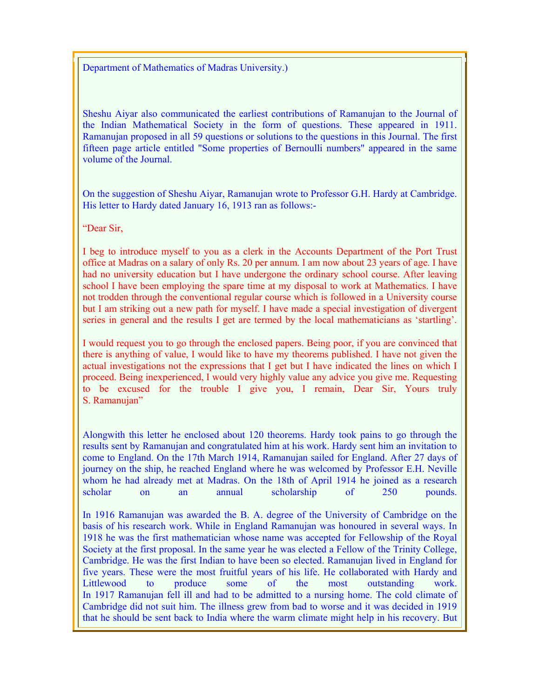## Department of Mathematics of Madras University.)

Sheshu Aiyar also communicated the earliest contributions of Ramanujan to the Journal of the Indian Mathematical Society in the form of questions. These appeared in 1911. Ramanujan proposed in all 59 questions or solutions to the questions in this Journal. The first fifteen page article entitled "Some properties of Bernoulli numbers" appeared in the same volume of the Journal.

On the suggestion of Sheshu Aiyar, Ramanujan wrote to Professor G.H. Hardy at Cambridge. His letter to Hardy dated January 16, 1913 ran as follows:-

"Dear Sir,

I beg to introduce myself to you as a clerk in the Accounts Department of the Port Trust office at Madras on a salary of only Rs. 20 per annum. I am now about 23 years of age. I have had no university education but I have undergone the ordinary school course. After leaving school I have been employing the spare time at my disposal to work at Mathematics. I have not trodden through the conventional regular course which is followed in a University course but I am striking out a new path for myself. I have made a special investigation of divergent series in general and the results I get are termed by the local mathematicians as 'startling'.

I would request you to go through the enclosed papers. Being poor, if you are convinced that there is anything of value, I would like to have my theorems published. I have not given the actual investigations not the expressions that I get but I have indicated the lines on which I proceed. Being inexperienced, I would very highly value any advice you give me. Requesting to be excused for the trouble I give you, I remain, Dear Sir, Yours truly S. Ramanujan"

Alongwith this letter he enclosed about 120 theorems. Hardy took pains to go through the results sent by Ramanujan and congratulated him at his work. Hardy sent him an invitation to come to England. On the 17th March 1914, Ramanujan sailed for England. After 27 days of journey on the ship, he reached England where he was welcomed by Professor E.H. Neville whom he had already met at Madras. On the 18th of April 1914 he joined as a research scholar on an annual scholarship of 250 pounds.

In 1916 Ramanujan was awarded the B. A. degree of the University of Cambridge on the basis of his research work. While in England Ramanujan was honoured in several ways. In 1918 he was the first mathematician whose name was accepted for Fellowship of the Royal Society at the first proposal. In the same year he was elected a Fellow of the Trinity College, Cambridge. He was the first Indian to have been so elected. Ramanujan lived in England for five years. These were the most fruitful years of his life. He collaborated with Hardy and Littlewood to produce some of the most outstanding work. In 1917 Ramanujan fell ill and had to be admitted to a nursing home. The cold climate of Cambridge did not suit him. The illness grew from bad to worse and it was decided in 1919 that he should be sent back to India where the warm climate might help in his recovery. But